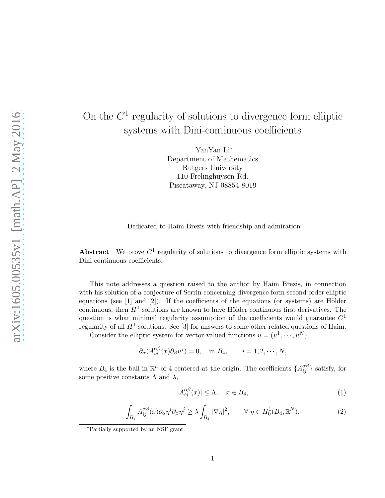## On the  $C<sup>1</sup>$  regularity of solutions to divergence form elliptic systems with Dini-continuous coefficients

YanYan Li<sup>∗</sup> Department of Mathematics Rutgers University 110 Frelinghuysen Rd. Piscataway, NJ 08854-8019

Dedicated to Haim Brezis with friendship and admiration

Abstract We prove  $C^1$  regularity of solutions to divergence form elliptic systems with Dini-continuous coefficients.

This note addresses a question raised to the author by Haim Brezis, in connection with his solution of a conjecture of Serrin concerning divergence form second order elliptic equations (see  $[1]$  and  $[2]$ ). If the coefficients of the equations (or systems) are Hölder continuous, then  $H^1$  solutions are known to have Hölder continuous first derivatives. The question is what minimal regularity assumption of the coefficients would guarantee  $C<sup>1</sup>$ regularity of all  $H^1$  solutions. See [3] for answers to some other related questions of Haim.

Consider the elliptic system for vector-valued functions  $u = (u^1, \dots, u^N)$ ,

$$
\partial_{\alpha}(A_{ij}^{\alpha\beta}(x)\partial_{\beta}u^j) = 0
$$
, in  $B_4$ ,  $i = 1, 2, \dots, N$ ,

where  $B_4$  is the ball in  $\mathbb{R}^n$  of 4 centered at the origin. The coefficients  $\{A_{ij}^{\alpha\beta}\}$  satisfy, for some positive constants  $\Lambda$  and  $\lambda$ ,

$$
|A_{ij}^{\alpha\beta}(x)| \le \Lambda, \quad x \in B_4,\tag{1}
$$

$$
\int_{B_4} A_{ij}^{\alpha\beta}(x) \partial_\alpha \eta^i \partial_\beta \eta^j \ge \lambda \int_{B_4} |\nabla \eta|^2, \qquad \forall \ \eta \in H_0^1(B_4, \mathbb{R}^N), \tag{2}
$$

<sup>∗</sup>Partially supported by an NSF grant.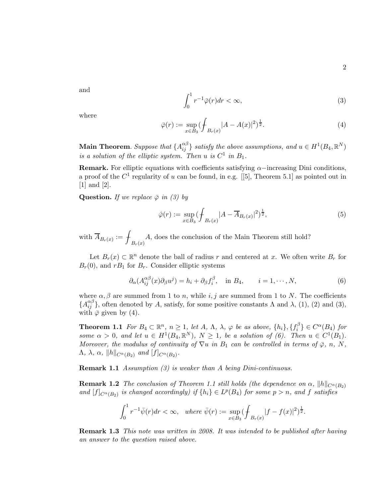and

$$
\int_0^1 r^{-1} \bar{\varphi}(r) dr < \infty,\tag{3}
$$

where

$$
\bar{\varphi}(r) := \sup_{x \in B_3} (\int_{B_r(x)} |A - A(x)|^2)^{\frac{1}{2}}.
$$
\n(4)

Main Theorem. Suppose that  $\{A_{ij}^{\alpha\beta}\}$  satisfy the above assumptions, and  $u \in H^1(B_4, \mathbb{R}^N)$ is a solution of the elliptic system. Then u is  $C^1$  in  $B_1$ .

Remark. For elliptic equations with coefficients satisfying  $\alpha$ –increasing Dini conditions, a proof of the  $C^1$  regularity of u can be found, in e.g. [[5], Theorem 5.1] as pointed out in [1] and [2].

**Question.** If we replace  $\overline{\varphi}$  in (3) by

$$
\hat{\varphi}(r) := \sup_{x \in B_3} (\int_{B_r(x)} |A - \overline{A}_{B_r(x)}|^2)^{\frac{1}{2}},\tag{5}
$$

with  $\overline{A}_{B_r(x)} := \int$  $B_r(x)$ A, does the conclusion of the Main Theorem still hold?

Let  $B_r(x) \subset \mathbb{R}^n$  denote the ball of radius r and centered at x. We often write  $B_r$  for  $B_r(0)$ , and  $rB_1$  for  $B_r$ . Consider elliptic systems

$$
\partial_{\alpha}(A_{ij}^{\alpha\beta}(x)\partial_{\beta}u^{j}) = h_{i} + \partial_{\beta}f_{i}^{\beta}, \quad \text{in } B_{4}, \qquad i = 1, \cdots, N,
$$
 (6)

where  $\alpha, \beta$  are summed from 1 to n, while i, j are summed from 1 to N. The coefficients  ${A_{ij}^{\alpha\beta}}$ , often denoted by A, satisfy, for some positive constants  $\Lambda$  and  $\lambda$ , (1), (2) and (3), with  $\bar{\varphi}$  given by (4).

**Theorem 1.1** For  $B_4 \subset \mathbb{R}^n$ ,  $n \ge 1$ , let  $A$ ,  $\Lambda$ ,  $\lambda$ ,  $\varphi$  be as above,  $\{h_i\}$ ,  $\{f_i^{\beta}\}$  $\{e^{i\beta}\}\in C^{\alpha}(B_4)$  for some  $\alpha > 0$ , and let  $u \in H^1(B_4, \mathbb{R}^N)$ ,  $N \geq 1$ , be a solution of (6). Then  $u \in C^1(B_1)$ . Moreover, the modulus of continuity of  $\nabla u$  in  $B_1$  can be controlled in terms of  $\overline{\varphi}$ , n, N,  $\Lambda$ ,  $\lambda$ ,  $\alpha$ ,  $||h||_{C^{\alpha}(B_2)}$  and  $[f]_{C^{\alpha}(B_2)}$ .

Remark 1.1 Assumption (3) is weaker than A being Dini-continuous.

**Remark 1.2** The conclusion of Theorem 1.1 still holds (the dependence on  $\alpha$ ,  $||h||_{C^{\alpha}(B_2)}$ ) and  $[f]_{C^{\alpha}(B_2)}$  is changed accordingly) if  $\{h_i\} \in L^p(B_4)$  for some  $p > n$ , and f satisfies

$$
\int_0^1 r^{-1} \bar{\psi}(r) dr < \infty, \quad \text{where } \bar{\psi}(r) := \sup_{x \in B_3} \left( f \int_{B_r(x)} |f - f(x)|^2 \right)^{\frac{1}{2}}.
$$

Remark 1.3 This note was written in 2008. It was intended to be published after having an answer to the question raised above.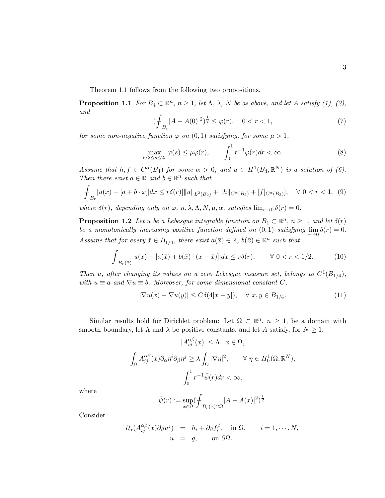Theorem 1.1 follows from the following two propositions.

**Proposition 1.1** For  $B_4 \subset \mathbb{R}^n$ ,  $n \ge 1$ , let  $\Lambda$ ,  $\lambda$ ,  $N$  be as above, and let  $A$  satisfy (1), (2), and

$$
(\mathcal{F}_{B_r}|A - A(0)|^2)^{\frac{1}{2}} \le \varphi(r), \quad 0 < r < 1,\tag{7}
$$

for some non-negative function  $\varphi$  on  $(0,1)$  satisfying, for some  $\mu > 1$ ,

$$
\max_{r/2 \le s \le 2r} \varphi(s) \le \mu \varphi(r), \qquad \int_0^1 r^{-1} \varphi(r) dr < \infty.
$$
 (8)

Assume that  $h, f \in C^{\alpha}(B_4)$  for some  $\alpha > 0$ , and  $u \in H^1(B_4, \mathbb{R}^N)$  is a solution of (6). Then there exist  $a \in \mathbb{R}$  and  $b \in \mathbb{R}^n$  such that

$$
\int_{B_r} |u(x) - [a+b \cdot x]| dx \le r\delta(r) [\|u\|_{L^2(B_2)} + \|h\|_{C^{\alpha}(B_2)} + [f]_{C^{\alpha}(B_2)}], \quad \forall \ 0 < r < 1, \tag{9}
$$

where  $\delta(r)$ , depending only on  $\varphi$ , n,  $\lambda$ ,  $\Lambda$ ,  $N$ ,  $\mu$ ,  $\alpha$ , satisfies  $\lim_{r\to 0} \delta(r) = 0$ .

**Proposition 1.2** Let u be a Lebesgue integrable function on  $B_1 \subset \mathbb{R}^n$ ,  $n \geq 1$ , and let  $\delta(r)$ be a monotonically increasing positive function defined on  $(0,1)$  satisfying  $\lim_{r\to 0} \delta(r) = 0$ . Assume that for every  $\bar{x} \in B_{1/4}$ , there exist  $a(\bar{x}) \in \mathbb{R}$ ,  $b(\bar{x}) \in \mathbb{R}^n$  such that

$$
\oint_{B_r(\bar{x})} |u(x) - [a(\bar{x}) + b(\bar{x}) \cdot (x - \bar{x})]| dx \le r\delta(r), \qquad \forall \ 0 < r < 1/2. \tag{10}
$$

Then u, after changing its values on a zero Lebesgue measure set, belongs to  $C^1(B_{1/4})$ , with  $u \equiv a$  and  $\nabla u \equiv b$ . Moreover, for some dimensional constant C,

$$
|\nabla u(x) - \nabla u(y)| \le C\delta(4|x - y|), \quad \forall \ x, y \in B_{1/4}.
$$
 (11)

Similar results hold for Dirichlet problem: Let  $\Omega \subset \mathbb{R}^n$ ,  $n \geq 1$ , be a domain with smooth boundary, let  $\Lambda$  and  $\lambda$  be positive constants, and let A satisfy, for  $N \geq 1$ ,

$$
|A_{ij}^{\alpha\beta}(x)| \leq \Lambda, \ x \in \Omega,
$$
  

$$
\int_{\Omega} A_{ij}^{\alpha\beta}(x) \partial_{\alpha} \eta^{j} \partial_{\beta} \eta^{j} \geq \lambda \int_{\Omega} |\nabla \eta|^{2}, \qquad \forall \ \eta \in H_{0}^{1}(\Omega, \mathbb{R}^{N}),
$$
  

$$
\int_{0}^{1} r^{-1} \bar{\psi}(r) dr < \infty,
$$

where

$$
\bar{\psi}(r) := \sup_{x \in \Omega} (\int_{B_r(x) \cap \Omega} |A - A(x)|^2)^{\frac{1}{2}}.
$$

Consider

$$
\partial_{\alpha}(A_{ij}^{\alpha\beta}(x)\partial_{\beta}u^{j}) = h_{i} + \partial_{\beta}f_{i}^{\beta}, \text{ in } \Omega, \quad i = 1, \cdots, N,
$$
  
\n
$$
u = g, \text{ on } \partial\Omega.
$$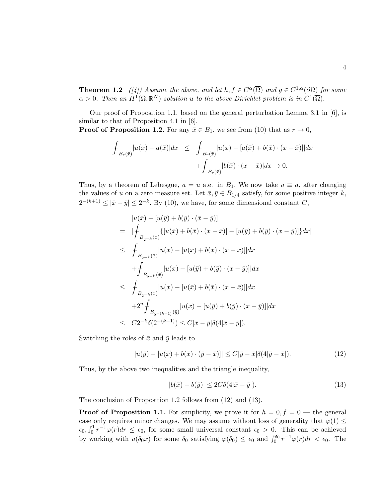**Theorem 1.2** ([4]) Assume the above, and let  $h, f \in C^{\alpha}(\overline{\Omega})$  and  $g \in C^{1,\alpha}(\partial \Omega)$  for some  $\alpha > 0$ . Then an  $H^1(\Omega, \mathbb{R}^N)$  solution u to the above Dirichlet problem is in  $C^1(\overline{\Omega})$ .

Our proof of Proposition 1.1, based on the general perturbation Lemma 3.1 in  $[6]$ , is similar to that of Proposition 4.1 in [6].

**Proof of Proposition 1.2.** For any  $\bar{x} \in B_1$ , we see from (10) that as  $r \to 0$ ,

$$
\int_{B_r(\bar{x})} |u(x) - a(\bar{x})| dx \leq \int_{B_r(\bar{x})} |u(x) - [a(\bar{x}) + b(\bar{x}) \cdot (x - \bar{x})]| dx
$$

$$
+ \int_{B_r(\bar{x})} |b(\bar{x}) \cdot (x - \bar{x})| dx \to 0.
$$

Thus, by a theorem of Lebesgue,  $a = u$  a.e. in  $B_1$ . We now take  $u \equiv a$ , after changing the values of u on a zero measure set. Let  $\bar{x}, \bar{y} \in B_{1/4}$  satisfy, for some positive integer k,  $2^{-(k+1)} \leq |\bar{x}-\bar{y}| \leq 2^{-k}$ . By (10), we have, for some dimensional constant C,

$$
|u(\bar{x}) - [u(\bar{y}) + b(\bar{y}) \cdot (\bar{x} - \bar{y})]|
$$
  
\n
$$
= | \int_{B_{2-k}(\bar{x})} \{ [u(\bar{x}) + b(\bar{x}) \cdot (x - \bar{x})] - [u(\bar{y}) + b(\bar{y}) \cdot (x - \bar{y})] \} dx |
$$
  
\n
$$
\leq \int_{B_{2-k}(\bar{x})} |u(x) - [u(\bar{x}) + b(\bar{x}) \cdot (x - \bar{x})]| dx
$$
  
\n
$$
+ \int_{B_{2-k}(\bar{x})} |u(x) - [u(\bar{y}) + b(\bar{y}) \cdot (x - \bar{y})]| dx
$$
  
\n
$$
\leq \int_{B_{2-k}(\bar{x})} |u(x) - [u(\bar{x}) + b(\bar{x}) \cdot (x - \bar{x})]| dx
$$
  
\n
$$
+ 2^{n} \int_{B_{2-(k-1)}(\bar{y})} |u(x) - [u(\bar{y}) + b(\bar{y}) \cdot (x - \bar{y})]| dx
$$
  
\n
$$
\leq C2^{-k} \delta(2^{-(k-1)}) \leq C|\bar{x} - \bar{y}| \delta(4|\bar{x} - \bar{y}|).
$$

Switching the roles of  $\bar{x}$  and  $\bar{y}$  leads to

$$
|u(\bar{y}) - [u(\bar{x}) + b(\bar{x}) \cdot (\bar{y} - \bar{x})]| \le C|\bar{y} - \bar{x}|\delta(4|\bar{y} - \bar{x}|). \tag{12}
$$

Thus, by the above two inequalities and the triangle inequality,

$$
|b(\bar{x}) - b(\bar{y})| \le 2C\delta(4|\bar{x} - \bar{y}|). \tag{13}
$$

The conclusion of Proposition 1.2 follows from (12) and (13).

**Proof of Proposition 1.1.** For simplicity, we prove it for  $h = 0, f = 0$  — the general case only requires minor changes. We may assume without loss of generality that  $\varphi(1) \leq$  $\epsilon_0$ ,  $\int_0^1 r^{-1} \varphi(r) dr \leq \epsilon_0$ , for some small universal constant  $\epsilon_0 > 0$ . This can be achieved by working with  $u(\delta_0 x)$  for some  $\delta_0$  satisfying  $\varphi(\delta_0) \leq \epsilon_0$  and  $\int_0^{\delta_0} r^{-1} \varphi(r) dr < \epsilon_0$ . The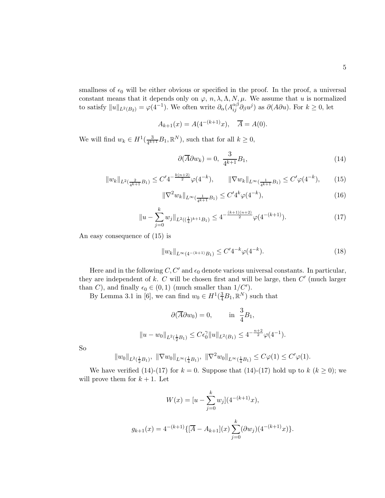smallness of  $\epsilon_0$  will be either obvious or specified in the proof. In the proof, a universal constant means that it depends only on  $\varphi$ ,  $n, \lambda, \Lambda, N, \mu$ . We assume that u is normalized to satisfy  $||u||_{L^2(B_2)} = \varphi(4^{-1})$ . We often write  $\partial_\alpha(A_{ij}^{\alpha\beta}\partial_\beta u^j)$  as  $\partial(A\partial u)$ . For  $k \geq 0$ , let

$$
A_{k+1}(x) = A(4^{-(k+1)}x), \quad \overline{A} = A(0).
$$

We will find  $w_k \in H^1(\frac{3}{4^{k+1}})$  $\frac{3}{4^{k+1}}B_1, \mathbb{R}^N$ , such that for all  $k \geq 0$ ,

$$
\partial(\overline{A}\partial w_k) = 0, \ \frac{3}{4^{k+1}}B_1,\tag{14}
$$

$$
||w_k||_{L^2(\frac{2}{4^{k+1}}B_1)} \le C' 4^{-\frac{k(n+2)}{2}} \varphi(4^{-k}), \qquad ||\nabla w_k||_{L^\infty(\frac{1}{4^{k+1}}B_1)} \le C' \varphi(4^{-k}), \qquad (15)
$$

$$
\|\nabla^2 w_k\|_{L^\infty(\frac{1}{4^{k+1}}B_1)} \le C' 4^k \varphi(4^{-k}),\tag{16}
$$

$$
||u - \sum_{j=0}^{k} w_j||_{L^2((\frac{1}{4})^{k+1}B_1)} \le 4^{-\frac{(k+1)(n+2)}{2}}\varphi(4^{-(k+1)}).
$$
 (17)

An easy consequence of (15) is

$$
||w_k||_{L^{\infty}(4^{-(k+1)}B_1)} \leq C' 4^{-k} \varphi(4^{-k}).
$$
\n(18)

Here and in the following  $C, C'$  and  $\epsilon_0$  denote various universal constants. In particular, they are independent of  $k$ .  $C$  will be chosen first and will be large, then  $C'$  (much larger than C), and finally  $\epsilon_0 \in (0,1)$  (much smaller than  $1/C'$ ).

By Lemma 3.1 in [6], we can find  $w_0 \in H^1(\frac{3}{4}B_1,\mathbb{R}^N)$  such that

$$
\partial(\overline{A}\partial w_0) = 0, \qquad \text{in } \frac{3}{4}B_1,
$$
  

$$
||u - w_0||_{L^2(\frac{1}{2}B_1)} \le C\epsilon_0^{\gamma}||u||_{L^2(B_1)} \le 4^{-\frac{n+2}{2}}\varphi(4^{-1}).
$$

So

$$
||w_0||_{L^2(\frac{1}{2}B_1)}, ||\nabla w_0||_{L^\infty(\frac{1}{4}B_1)}, ||\nabla^2 w_0||_{L^\infty(\frac{1}{4}B_1)} \leq C\varphi(1) \leq C'\varphi(1).
$$

We have verified (14)-(17) for  $k = 0$ . Suppose that (14)-(17) hold up to  $k (k \ge 0)$ ; we will prove them for  $k + 1$ . Let

$$
W(x) = [u - \sum_{j=0}^{k} w_j](4^{-(k+1)}x),
$$
  

$$
g_{k+1}(x) = 4^{-(k+1)}\{[\overline{A} - A_{k+1}](x) \sum_{j=0}^{k} (\partial w_j)(4^{-(k+1)}x)\}.
$$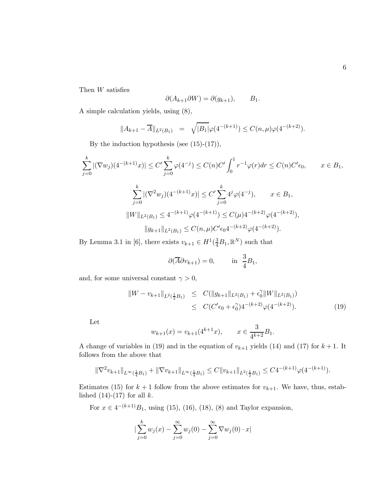Then  $W$  satisfies

$$
\partial(A_{k+1}\partial W) = \partial(g_{k+1}), \qquad B_1.
$$

A simple calculation yields, using (8),

$$
||A_{k+1} - \overline{A}||_{L^{2}(B_1)} = \sqrt{|B_1|}\varphi(4^{-(k+1)}) \le C(n,\mu)\varphi(4^{-(k+2)}).
$$

By the induction hypothesis (see  $(15)-(17)$ ),

$$
\sum_{j=0}^{k} |(\nabla w_j)(4^{-(k+1)}x)| \le C' \sum_{j=0}^{k} \varphi(4^{-j}) \le C(n)C' \int_0^1 r^{-1} \varphi(r) dr \le C(n)C' \epsilon_0, \qquad x \in B_1,
$$
  

$$
\sum_{j=0}^{k} |(\nabla^2 w_j)(4^{-(k+1)}x)| \le C' \sum_{j=0}^{k} 4^j \varphi(4^{-j}), \qquad x \in B_1,
$$
  

$$
||W||_{L^2(B_1)} \le 4^{-(k+1)} \varphi(4^{-(k+1)}) \le C(\mu)4^{-(k+2)} \varphi(4^{-(k+2)}),
$$
  

$$
||g_{k+1}||_{L^2(B_1)} \le C(n,\mu)C' \epsilon_0 4^{-(k+2)} \varphi(4^{-(k+2)}).
$$

By Lemma 3.1 in [6], there exists  $v_{k+1} \in H^1(\frac{3}{4}B_1,\mathbb{R}^N)$  such that

$$
\partial(\overline{A}\partial v_{k+1}) = 0,
$$
 in  $\frac{3}{4}B_1$ ,

and, for some universal constant  $\gamma > 0$ ,

$$
||W - v_{k+1}||_{L^2(\frac{1}{2}B_1)} \leq C(||g_{k+1}||_{L^2(B_1)} + \epsilon_0^{\gamma} ||W||_{L^2(B_1)})
$$
  
 
$$
\leq C(C'\epsilon_0 + \epsilon_0^{\gamma})4^{-(k+2)}\varphi(4^{-(k+2)}).
$$
 (19)

Let

$$
w_{k+1}(x) = v_{k+1}(4^{k+1}x), \qquad x \in \frac{3}{4^{k+2}}B_1.
$$

A change of variables in (19) and in the equation of  $v_{k+1}$  yields (14) and (17) for  $k+1$ . It follows from the above that

$$
\|\nabla^2 v_{k+1}\|_{L^{\infty}(\frac{1}{4}B_1)} + \|\nabla v_{k+1}\|_{L^{\infty}(\frac{1}{4}B_1)} \le C \|v_{k+1}\|_{L^2(\frac{1}{2}B_1)} \le C4^{-(k+1)}\varphi(4^{-(k+1)}).
$$

Estimates (15) for  $k + 1$  follow from the above estimates for  $v_{k+1}$ . We have, thus, established  $(14)-(17)$  for all k.

For  $x \in 4^{-(k+1)}B_1$ , using (15), (16), (18), (8) and Taylor expansion,

$$
\sum_{j=0}^{k} w_j(x) - \sum_{j=0}^{\infty} w_j(0) - \sum_{j=0}^{\infty} \nabla w_j(0) \cdot x
$$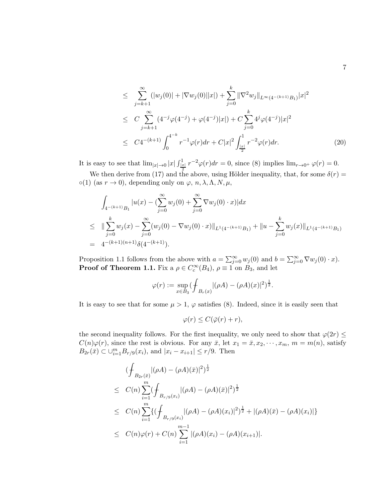$$
\leq \sum_{j=k+1}^{\infty} (|w_j(0)| + |\nabla w_j(0)||x|) + \sum_{j=0}^{k} ||\nabla^2 w_j||_{L^{\infty}(4^{-(k+1)}B_1)} |x|^2
$$
  
\n
$$
\leq C \sum_{j=k+1}^{\infty} (4^{-j} \varphi(4^{-j}) + \varphi(4^{-j})|x|) + C \sum_{j=0}^{k} 4^j \varphi(4^{-j})|x|^2
$$
  
\n
$$
\leq C 4^{-(k+1)} \int_0^{4^{-k}} r^{-1} \varphi(r) dr + C|x|^2 \int_{\frac{|x|}{2}}^1 r^{-2} \varphi(r) dr.
$$
 (20)

It is easy to see that  $\lim_{|x|\to 0} |x| \int_{\frac{|x|}{x}}^{1} r^{-2} \varphi(r) dr = 0$ , since (8) implies  $\lim_{r\to 0^+} \varphi(r) = 0$ .

We then derive from (17) and the above, using Hölder inequality, that, for some  $\delta(r)$  =  $\circ(1)$  (as  $r \to 0$ ), depending only on  $\varphi$ ,  $n, \lambda, \Lambda, N, \mu$ ,

$$
\int_{4^{-(k+1)}B_1} |u(x) - (\sum_{j=0}^{\infty} w_j(0) + \sum_{j=0}^{\infty} \nabla w_j(0) \cdot x)| dx
$$
\n
$$
\leq \|\sum_{j=0}^k w_j(x) - \sum_{j=0}^{\infty} (w_j(0) - \nabla w_j(0) \cdot x)\|_{L^1(4^{-(k+1)}B_1)} + \|u - \sum_{j=0}^k w_j(x)\|_{L^1(4^{-(k+1)}B_1)}
$$
\n
$$
= 4^{-(k+1)(n+1)} \delta(4^{-(k+1)}).
$$

Proposition 1.1 follows from the above with  $a = \sum_{j=0}^{\infty} w_j(0)$  and  $b = \sum_{j=0}^{\infty} \nabla w_j(0) \cdot x$ . **Proof of Theorem 1.1.** Fix a  $\rho \in C_c^{\infty}(B_4)$ ,  $\rho \equiv 1$  on  $B_3$ , and let

$$
\varphi(r) := \sup_{x \in B_3} (\int_{B_r(x)} |(\rho A) - (\rho A)(x)|^2)^{\frac{1}{2}}.
$$

It is easy to see that for some  $\mu > 1$ ,  $\varphi$  satisfies (8). Indeed, since it is easily seen that

$$
\varphi(r) \le C(\bar{\varphi}(r) + r),
$$

the second inequality follows. For the first inequality, we only need to show that  $\varphi(2r) \leq$  $C(n)\varphi(r)$ , since the rest is obvious. For any  $\bar{x}$ , let  $x_1 = \bar{x}, x_2, \dots, x_m, m = m(n)$ , satisfy  $B_{2r}(\bar{x}) \subset \bigcup_{i=1}^{m} B_{r/9}(x_i)$ , and  $|x_i - x_{i+1}| \leq r/9$ . Then

$$
\begin{split}\n&\left(\int_{B_{2r}(\bar{x})} |(\rho A) - (\rho A)(\bar{x})|^2\right)^{\frac{1}{2}} \\
&\leq C(n) \sum_{i=1}^m \left(\int_{B_{r/9}(x_i)} |(\rho A) - (\rho A)(\bar{x})|^2\right)^{\frac{1}{2}} \\
&\leq C(n) \sum_{i=1}^m \left\{ \left(\int_{B_{r/9}(x_i)} |(\rho A) - (\rho A)(x_i)|^2\right)^{\frac{1}{2}} + |(\rho A)(\bar{x}) - (\rho A)(x_i)| \right\} \\
&\leq C(n)\varphi(r) + C(n) \sum_{i=1}^{m-1} |(\rho A)(x_i) - (\rho A)(x_{i+1})|.\n\end{split}
$$